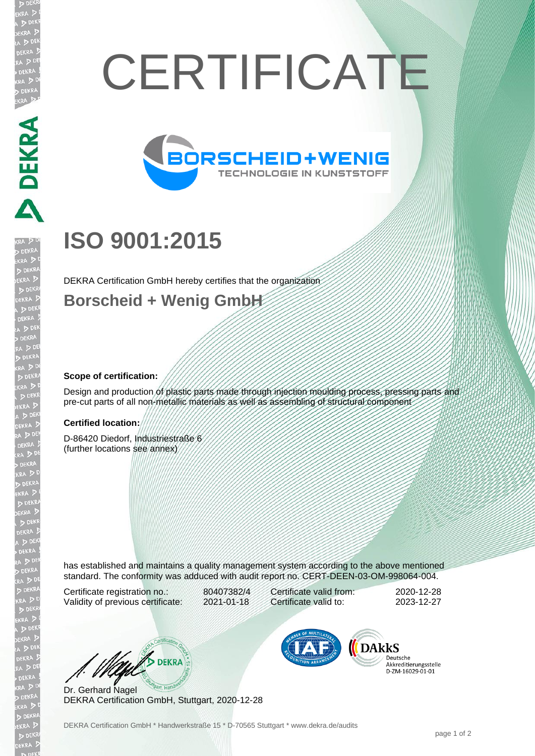# **CERTIFICATE**



# **ISO 9001:2015**

DEKRA Certification GmbH hereby certifies that the organization

### **Borscheid + Wenig GmbH**

#### **Scope of certification:**

DEKRA PARTIES

EKR

Design and production of plastic parts made through injection moulding process, pressing parts and pre-cut parts of all non-metallic materials as well as assembling of structural component

#### **Certified location:**

D-86420 Diedorf, Industriestraße 6 (further locations see annex)

has established and maintains a quality management system according to the above mentioned standard. The conformity was adduced with audit report no. CERT-DEEN-03-OM-998064-004.

Certificate registration no.: 80407382/4 Validity of previous certificate: 2021-01-18

Certificate valid from: 2020-12-28 Certificate valid to: 2023-12-27

WE DEKRA

Dr. Gerhard Nagel DEKRA Certification GmbH, Stuttgart, 2020-12-28



Deutsche Akkreditierungsstelle